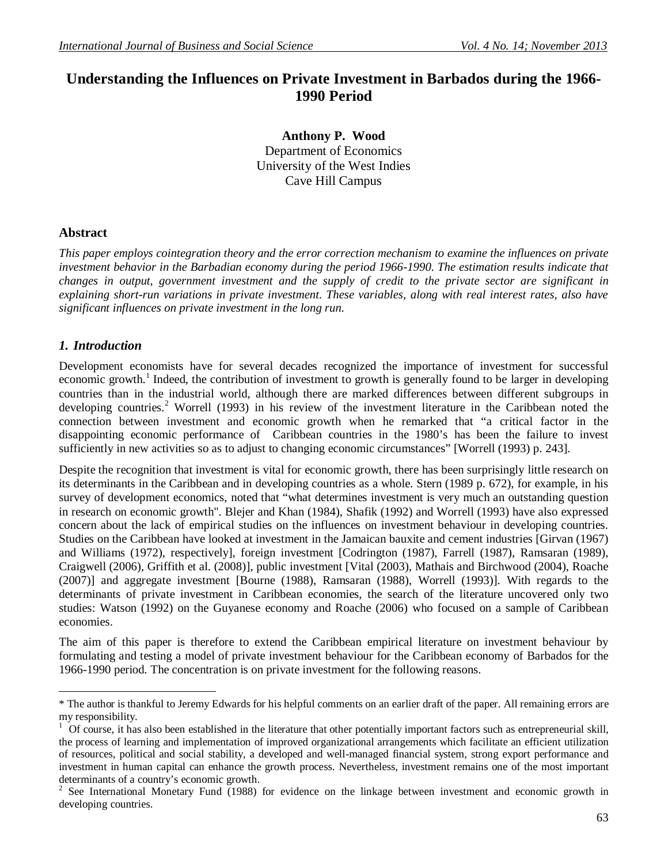# **Understanding the Influences on Private Investment in Barbados during the 1966- 1990 Period**

**Anthony P. Wood**  Department of Economics University of the West Indies Cave Hill Campus

# **Abstract**

*This paper employs cointegration theory and the error correction mechanism to examine the influences on private investment behavior in the Barbadian economy during the period 1966-1990. The estimation results indicate that changes in output, government investment and the supply of credit to the private sector are significant in explaining short-run variations in private investment. These variables, along with real interest rates, also have significant influences on private investment in the long run.* 

# *1. Introduction*

Development economists have for several decades recognized the importance of investment for successful economic growth.<sup>1</sup> Indeed, the contribution of investment to growth is generally found to be larger in developing countries than in the industrial world, although there are marked differences between different subgroups in developing countries.<sup>2</sup> Worrell (1993) in his review of the investment literature in the Caribbean noted the connection between investment and economic growth when he remarked that "a critical factor in the disappointing economic performance of Caribbean countries in the 1980's has been the failure to invest sufficiently in new activities so as to adjust to changing economic circumstances" [Worrell (1993) p. 243].

Despite the recognition that investment is vital for economic growth, there has been surprisingly little research on its determinants in the Caribbean and in developing countries as a whole. Stern (1989 p. 672), for example, in his survey of development economics, noted that "what determines investment is very much an outstanding question in research on economic growth". Blejer and Khan (1984), Shafik (1992) and Worrell (1993) have also expressed concern about the lack of empirical studies on the influences on investment behaviour in developing countries. Studies on the Caribbean have looked at investment in the Jamaican bauxite and cement industries [Girvan (1967) and Williams (1972), respectively], foreign investment [Codrington (1987), Farrell (1987), Ramsaran (1989), Craigwell (2006), Griffith et al. (2008)], public investment [Vital (2003), Mathais and Birchwood (2004), Roache (2007)] and aggregate investment [Bourne (1988), Ramsaran (1988), Worrell (1993)]. With regards to the determinants of private investment in Caribbean economies, the search of the literature uncovered only two studies: Watson (1992) on the Guyanese economy and Roache (2006) who focused on a sample of Caribbean economies.

The aim of this paper is therefore to extend the Caribbean empirical literature on investment behaviour by formulating and testing a model of private investment behaviour for the Caribbean economy of Barbados for the 1966-1990 period. The concentration is on private investment for the following reasons.

 $\overline{a}$ \* The author is thankful to Jeremy Edwards for his helpful comments on an earlier draft of the paper. All remaining errors are my responsibility.

 $1$  Of course, it has also been established in the literature that other potentially important factors such as entrepreneurial skill, the process of learning and implementation of improved organizational arrangements which facilitate an efficient utilization of resources, political and social stability, a developed and well-managed financial system, strong export performance and investment in human capital can enhance the growth process. Nevertheless, investment remains one of the most important determinants of a country's economic growth.

<sup>2</sup> See International Monetary Fund (1988) for evidence on the linkage between investment and economic growth in developing countries.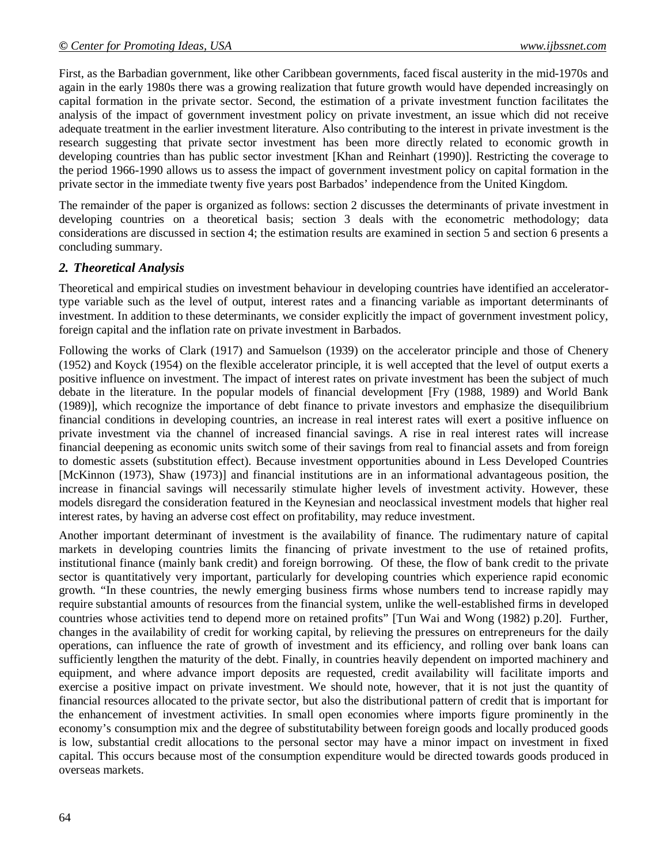First, as the Barbadian government, like other Caribbean governments, faced fiscal austerity in the mid-1970s and again in the early 1980s there was a growing realization that future growth would have depended increasingly on capital formation in the private sector. Second, the estimation of a private investment function facilitates the analysis of the impact of government investment policy on private investment, an issue which did not receive adequate treatment in the earlier investment literature. Also contributing to the interest in private investment is the research suggesting that private sector investment has been more directly related to economic growth in developing countries than has public sector investment [Khan and Reinhart (1990)]. Restricting the coverage to the period 1966-1990 allows us to assess the impact of government investment policy on capital formation in the private sector in the immediate twenty five years post Barbados' independence from the United Kingdom.

The remainder of the paper is organized as follows: section 2 discusses the determinants of private investment in developing countries on a theoretical basis; section 3 deals with the econometric methodology; data considerations are discussed in section 4; the estimation results are examined in section 5 and section 6 presents a concluding summary.

# *2. Theoretical Analysis*

Theoretical and empirical studies on investment behaviour in developing countries have identified an acceleratortype variable such as the level of output, interest rates and a financing variable as important determinants of investment. In addition to these determinants, we consider explicitly the impact of government investment policy, foreign capital and the inflation rate on private investment in Barbados.

Following the works of Clark (1917) and Samuelson (1939) on the accelerator principle and those of Chenery (1952) and Koyck (1954) on the flexible accelerator principle, it is well accepted that the level of output exerts a positive influence on investment. The impact of interest rates on private investment has been the subject of much debate in the literature. In the popular models of financial development [Fry (1988, 1989) and World Bank (1989)], which recognize the importance of debt finance to private investors and emphasize the disequilibrium financial conditions in developing countries, an increase in real interest rates will exert a positive influence on private investment via the channel of increased financial savings. A rise in real interest rates will increase financial deepening as economic units switch some of their savings from real to financial assets and from foreign to domestic assets (substitution effect). Because investment opportunities abound in Less Developed Countries [McKinnon (1973), Shaw (1973)] and financial institutions are in an informational advantageous position, the increase in financial savings will necessarily stimulate higher levels of investment activity. However, these models disregard the consideration featured in the Keynesian and neoclassical investment models that higher real interest rates, by having an adverse cost effect on profitability, may reduce investment.

Another important determinant of investment is the availability of finance. The rudimentary nature of capital markets in developing countries limits the financing of private investment to the use of retained profits, institutional finance (mainly bank credit) and foreign borrowing. Of these, the flow of bank credit to the private sector is quantitatively very important, particularly for developing countries which experience rapid economic growth. "In these countries, the newly emerging business firms whose numbers tend to increase rapidly may require substantial amounts of resources from the financial system, unlike the well-established firms in developed countries whose activities tend to depend more on retained profits" [Tun Wai and Wong (1982) p.20]. Further, changes in the availability of credit for working capital, by relieving the pressures on entrepreneurs for the daily operations, can influence the rate of growth of investment and its efficiency, and rolling over bank loans can sufficiently lengthen the maturity of the debt. Finally, in countries heavily dependent on imported machinery and equipment, and where advance import deposits are requested, credit availability will facilitate imports and exercise a positive impact on private investment. We should note, however, that it is not just the quantity of financial resources allocated to the private sector, but also the distributional pattern of credit that is important for the enhancement of investment activities. In small open economies where imports figure prominently in the economy's consumption mix and the degree of substitutability between foreign goods and locally produced goods is low, substantial credit allocations to the personal sector may have a minor impact on investment in fixed capital. This occurs because most of the consumption expenditure would be directed towards goods produced in overseas markets.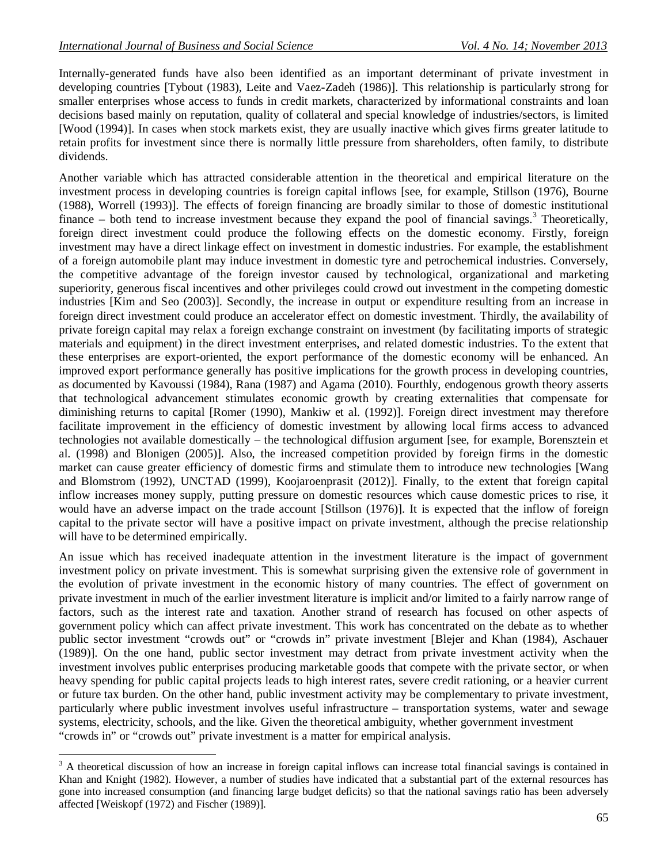$\overline{a}$ 

Internally-generated funds have also been identified as an important determinant of private investment in developing countries [Tybout (1983), Leite and Vaez-Zadeh (1986)]. This relationship is particularly strong for smaller enterprises whose access to funds in credit markets, characterized by informational constraints and loan decisions based mainly on reputation, quality of collateral and special knowledge of industries/sectors, is limited [Wood (1994)]. In cases when stock markets exist, they are usually inactive which gives firms greater latitude to retain profits for investment since there is normally little pressure from shareholders, often family, to distribute dividends.

Another variable which has attracted considerable attention in the theoretical and empirical literature on the investment process in developing countries is foreign capital inflows [see, for example, Stillson (1976), Bourne (1988), Worrell (1993)]. The effects of foreign financing are broadly similar to those of domestic institutional finance – both tend to increase investment because they expand the pool of financial savings.<sup>3</sup> Theoretically, foreign direct investment could produce the following effects on the domestic economy. Firstly, foreign investment may have a direct linkage effect on investment in domestic industries. For example, the establishment of a foreign automobile plant may induce investment in domestic tyre and petrochemical industries. Conversely, the competitive advantage of the foreign investor caused by technological, organizational and marketing superiority, generous fiscal incentives and other privileges could crowd out investment in the competing domestic industries [Kim and Seo (2003)]. Secondly, the increase in output or expenditure resulting from an increase in foreign direct investment could produce an accelerator effect on domestic investment. Thirdly, the availability of private foreign capital may relax a foreign exchange constraint on investment (by facilitating imports of strategic materials and equipment) in the direct investment enterprises, and related domestic industries. To the extent that these enterprises are export-oriented, the export performance of the domestic economy will be enhanced. An improved export performance generally has positive implications for the growth process in developing countries, as documented by Kavoussi (1984), Rana (1987) and Agama (2010). Fourthly, endogenous growth theory asserts that technological advancement stimulates economic growth by creating externalities that compensate for diminishing returns to capital [Romer (1990), Mankiw et al. (1992)]. Foreign direct investment may therefore facilitate improvement in the efficiency of domestic investment by allowing local firms access to advanced technologies not available domestically – the technological diffusion argument [see, for example, Borensztein et al. (1998) and Blonigen (2005)]. Also, the increased competition provided by foreign firms in the domestic market can cause greater efficiency of domestic firms and stimulate them to introduce new technologies [Wang and Blomstrom (1992), UNCTAD (1999), Koojaroenprasit (2012)]. Finally, to the extent that foreign capital inflow increases money supply, putting pressure on domestic resources which cause domestic prices to rise, it would have an adverse impact on the trade account [Stillson (1976)]. It is expected that the inflow of foreign capital to the private sector will have a positive impact on private investment, although the precise relationship will have to be determined empirically.

An issue which has received inadequate attention in the investment literature is the impact of government investment policy on private investment. This is somewhat surprising given the extensive role of government in the evolution of private investment in the economic history of many countries. The effect of government on private investment in much of the earlier investment literature is implicit and/or limited to a fairly narrow range of factors, such as the interest rate and taxation. Another strand of research has focused on other aspects of government policy which can affect private investment. This work has concentrated on the debate as to whether public sector investment "crowds out" or "crowds in" private investment [Blejer and Khan (1984), Aschauer (1989)]. On the one hand, public sector investment may detract from private investment activity when the investment involves public enterprises producing marketable goods that compete with the private sector, or when heavy spending for public capital projects leads to high interest rates, severe credit rationing, or a heavier current or future tax burden. On the other hand, public investment activity may be complementary to private investment, particularly where public investment involves useful infrastructure – transportation systems, water and sewage systems, electricity, schools, and the like. Given the theoretical ambiguity, whether government investment "crowds in" or "crowds out" private investment is a matter for empirical analysis.

 $3$  A theoretical discussion of how an increase in foreign capital inflows can increase total financial savings is contained in Khan and Knight (1982). However, a number of studies have indicated that a substantial part of the external resources has gone into increased consumption (and financing large budget deficits) so that the national savings ratio has been adversely affected [Weiskopf (1972) and Fischer (1989)].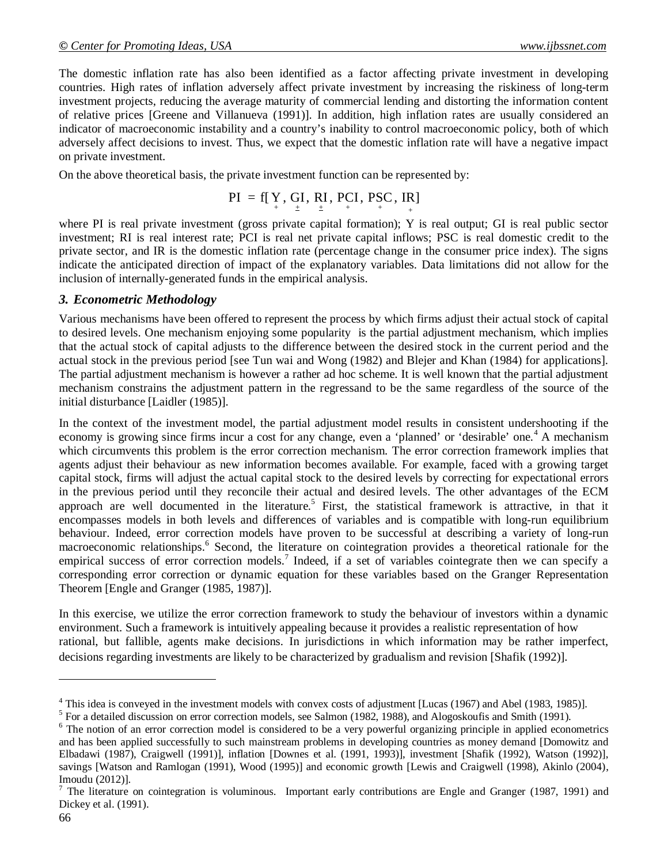The domestic inflation rate has also been identified as a factor affecting private investment in developing countries. High rates of inflation adversely affect private investment by increasing the riskiness of long-term investment projects, reducing the average maturity of commercial lending and distorting the information content of relative prices [Greene and Villanueva (1991)]. In addition, high inflation rates are usually considered an indicator of macroeconomic instability and a country's inability to control macroeconomic policy, both of which adversely affect decisions to invest. Thus, we expect that the domestic inflation rate will have a negative impact on private investment.

On the above theoretical basis, the private investment function can be represented by:

$$
PI = f[Y, GI, RI, PCI, PSC, IR]
$$

where PI is real private investment (gross private capital formation); Y is real output; GI is real public sector investment; RI is real interest rate; PCI is real net private capital inflows; PSC is real domestic credit to the private sector, and IR is the domestic inflation rate (percentage change in the consumer price index). The signs indicate the anticipated direction of impact of the explanatory variables. Data limitations did not allow for the inclusion of internally-generated funds in the empirical analysis.

# *3. Econometric Methodology*

Various mechanisms have been offered to represent the process by which firms adjust their actual stock of capital to desired levels. One mechanism enjoying some popularity is the partial adjustment mechanism, which implies that the actual stock of capital adjusts to the difference between the desired stock in the current period and the actual stock in the previous period [see Tun wai and Wong (1982) and Blejer and Khan (1984) for applications]. The partial adjustment mechanism is however a rather ad hoc scheme. It is well known that the partial adjustment mechanism constrains the adjustment pattern in the regressand to be the same regardless of the source of the initial disturbance [Laidler (1985)].

In the context of the investment model, the partial adjustment model results in consistent undershooting if the economy is growing since firms incur a cost for any change, even a 'planned' or 'desirable' one.<sup>4</sup> A mechanism which circumvents this problem is the error correction mechanism. The error correction framework implies that agents adjust their behaviour as new information becomes available. For example, faced with a growing target capital stock, firms will adjust the actual capital stock to the desired levels by correcting for expectational errors in the previous period until they reconcile their actual and desired levels. The other advantages of the ECM approach are well documented in the literature.<sup>5</sup> First, the statistical framework is attractive, in that it encompasses models in both levels and differences of variables and is compatible with long-run equilibrium behaviour. Indeed, error correction models have proven to be successful at describing a variety of long-run macroeconomic relationships.<sup>6</sup> Second, the literature on cointegration provides a theoretical rationale for the empirical success of error correction models.<sup>7</sup> Indeed, if a set of variables cointegrate then we can specify a corresponding error correction or dynamic equation for these variables based on the Granger Representation Theorem [Engle and Granger (1985, 1987)].

In this exercise, we utilize the error correction framework to study the behaviour of investors within a dynamic environment. Such a framework is intuitively appealing because it provides a realistic representation of how rational, but fallible, agents make decisions. In jurisdictions in which information may be rather imperfect, decisions regarding investments are likely to be characterized by gradualism and revision [Shafik (1992)].

 $\overline{a}$ 

<sup>&</sup>lt;sup>4</sup> This idea is conveyed in the investment models with convex costs of adjustment [Lucas (1967) and Abel (1983, 1985)].

 $<sup>5</sup>$  For a detailed discussion on error correction models, see Salmon (1982, 1988), and Alogoskoufis and Smith (1991).</sup>

<sup>&</sup>lt;sup>6</sup> The notion of an error correction model is considered to be a very powerful organizing principle in applied econometrics and has been applied successfully to such mainstream problems in developing countries as money demand [Domowitz and Elbadawi (1987), Craigwell (1991)], inflation [Downes et al. (1991, 1993)], investment [Shafik (1992), Watson (1992)], savings [Watson and Ramlogan (1991), Wood (1995)] and economic growth [Lewis and Craigwell (1998), Akinlo (2004), Imoudu (2012)].

 $7$  The literature on cointegration is voluminous. Important early contributions are Engle and Granger (1987, 1991) and Dickey et al. (1991).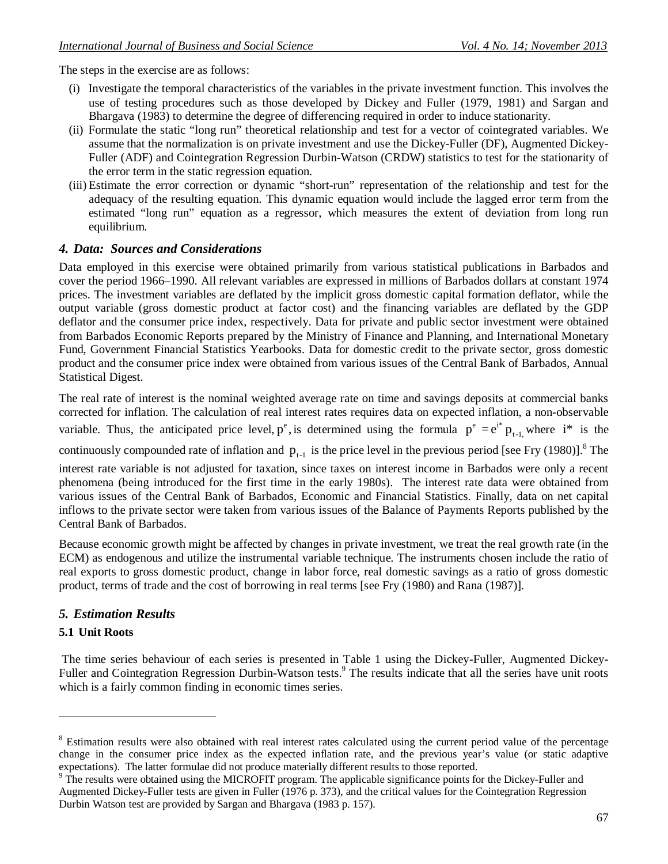The steps in the exercise are as follows:

- (i) Investigate the temporal characteristics of the variables in the private investment function. This involves the use of testing procedures such as those developed by Dickey and Fuller (1979, 1981) and Sargan and Bhargava (1983) to determine the degree of differencing required in order to induce stationarity.
- (ii) Formulate the static "long run" theoretical relationship and test for a vector of cointegrated variables. We assume that the normalization is on private investment and use the Dickey-Fuller (DF), Augmented Dickey-Fuller (ADF) and Cointegration Regression Durbin-Watson (CRDW) statistics to test for the stationarity of the error term in the static regression equation.
- (iii) Estimate the error correction or dynamic "short-run" representation of the relationship and test for the adequacy of the resulting equation. This dynamic equation would include the lagged error term from the estimated "long run" equation as a regressor, which measures the extent of deviation from long run equilibrium.

#### *4. Data: Sources and Considerations*

Data employed in this exercise were obtained primarily from various statistical publications in Barbados and cover the period 1966–1990. All relevant variables are expressed in millions of Barbados dollars at constant 1974 prices. The investment variables are deflated by the implicit gross domestic capital formation deflator, while the output variable (gross domestic product at factor cost) and the financing variables are deflated by the GDP deflator and the consumer price index, respectively. Data for private and public sector investment were obtained from Barbados Economic Reports prepared by the Ministry of Finance and Planning, and International Monetary Fund, Government Financial Statistics Yearbooks. Data for domestic credit to the private sector, gross domestic product and the consumer price index were obtained from various issues of the Central Bank of Barbados, Annual Statistical Digest.

The real rate of interest is the nominal weighted average rate on time and savings deposits at commercial banks corrected for inflation. The calculation of real interest rates requires data on expected inflation, a non-observable variable. Thus, the anticipated price level,  $p^e$ , is determined using the formula  $p^e = e^{i^*} p_{t-1}$ , where  $i^*$  is the

continuously compounded rate of inflation and  $p_{t-1}$  is the price level in the previous period [see Fry (1980)].<sup>8</sup> The

interest rate variable is not adjusted for taxation, since taxes on interest income in Barbados were only a recent phenomena (being introduced for the first time in the early 1980s). The interest rate data were obtained from various issues of the Central Bank of Barbados, Economic and Financial Statistics. Finally, data on net capital inflows to the private sector were taken from various issues of the Balance of Payments Reports published by the Central Bank of Barbados.

Because economic growth might be affected by changes in private investment, we treat the real growth rate (in the ECM) as endogenous and utilize the instrumental variable technique. The instruments chosen include the ratio of real exports to gross domestic product, change in labor force, real domestic savings as a ratio of gross domestic product, terms of trade and the cost of borrowing in real terms [see Fry (1980) and Rana (1987)].

# *5. Estimation Results*

#### **5.1 Unit Roots**

l

The time series behaviour of each series is presented in Table 1 using the Dickey-Fuller, Augmented Dickey-Fuller and Cointegration Regression Durbin-Watson tests.<sup>9</sup> The results indicate that all the series have unit roots which is a fairly common finding in economic times series.

<sup>&</sup>lt;sup>8</sup> Estimation results were also obtained with real interest rates calculated using the current period value of the percentage change in the consumer price index as the expected inflation rate, and the previous year's value (or static adaptive expectations). The latter formulae did not produce materially different results to those reported.

<sup>9</sup> The results were obtained using the MICROFIT program. The applicable significance points for the Dickey-Fuller and Augmented Dickey-Fuller tests are given in Fuller (1976 p. 373), and the critical values for the Cointegration Regression Durbin Watson test are provided by Sargan and Bhargava (1983 p. 157).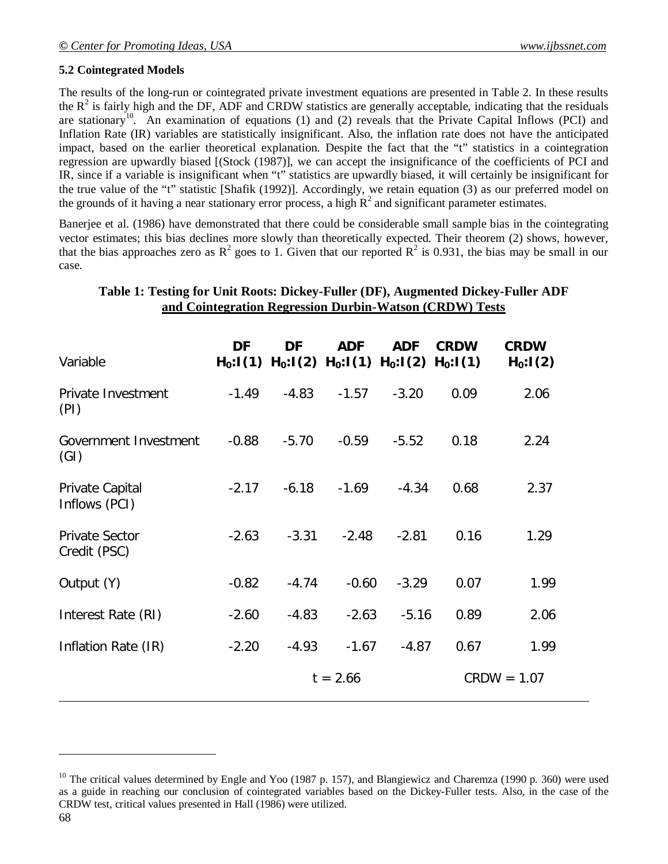#### **5.2 Cointegrated Models**

The results of the long-run or cointegrated private investment equations are presented in Table 2. In these results the  $R^2$  is fairly high and the DF, ADF and CRDW statistics are generally acceptable, indicating that the residuals are stationary<sup>10</sup>. An examination of equations (1) and (2) reveals that the Private Capital Inflows (PCI) and Inflation Rate (IR) variables are statistically insignificant. Also, the inflation rate does not have the anticipated impact, based on the earlier theoretical explanation. Despite the fact that the "t" statistics in a cointegration regression are upwardly biased [(Stock (1987)], we can accept the insignificance of the coefficients of PCI and IR, since if a variable is insignificant when "t" statistics are upwardly biased, it will certainly be insignificant for the true value of the "t" statistic [Shafik (1992)]. Accordingly, we retain equation (3) as our preferred model on the grounds of it having a near stationary error process, a high  $R^2$  and significant parameter estimates.

Banerjee et al. (1986) have demonstrated that there could be considerable small sample bias in the cointegrating vector estimates; this bias declines more slowly than theoretically expected. Their theorem (2) shows, however, that the bias approaches zero as  $R^2$  goes to 1. Given that our reported  $R^2$  is 0.931, the bias may be small in our case.

# **Table 1: Testing for Unit Roots: Dickey-Fuller (DF), Augmented Dickey-Fuller ADF and Cointegration Regression Durbin-Watson (CRDW) Tests**

| Variable                              | DF<br>$H_0: I(1)$ | DF         | <b>ADF</b><br>$H_0: I(2)$ $H_0: I(1)$ $H_0: I(2)$ | <b>ADF</b> | <b>CRDW</b><br>$H_0: I(1)$ | <b>CRDW</b><br>$H_0: I(2)$ |
|---------------------------------------|-------------------|------------|---------------------------------------------------|------------|----------------------------|----------------------------|
| Private Investment<br>(PI)            | $-1.49$           | $-4.83$    | $-1.57$                                           | $-3.20$    | 0.09                       | 2.06                       |
| Government Investment<br>(GI)         | $-0.88$           | $-5.70$    | $-0.59$                                           | $-5.52$    | 0.18                       | 2.24                       |
| Private Capital<br>Inflows (PCI)      | $-2.17$           | $-6.18$    | $-1.69$                                           | $-4.34$    | 0.68                       | 2.37                       |
| <b>Private Sector</b><br>Credit (PSC) | $-2.63$           | $-3.31$    | $-2.48$                                           | $-2.81$    | 0.16                       | 1.29                       |
| Output (Y)                            | $-0.82$           | $-4.74$    | $-0.60$                                           | $-3.29$    | 0.07                       | 1.99                       |
| Interest Rate (RI)                    | $-2.60$           | $-4.83$    | $-2.63$                                           | $-5.16$    | 0.89                       | 2.06                       |
| Inflation Rate (IR)                   | $-2.20$           | $-4.93$    | $-1.67$                                           | $-4.87$    | 0.67                       | 1.99                       |
|                                       |                   | $t = 2.66$ |                                                   |            |                            | $CRDW = 1.07$              |

 $\overline{a}$ 

<sup>&</sup>lt;sup>10</sup> The critical values determined by Engle and Yoo (1987 p. 157), and Blangiewicz and Charemza (1990 p. 360) were used as a guide in reaching our conclusion of cointegrated variables based on the Dickey-Fuller tests. Also, in the case of the CRDW test, critical values presented in Hall (1986) were utilized.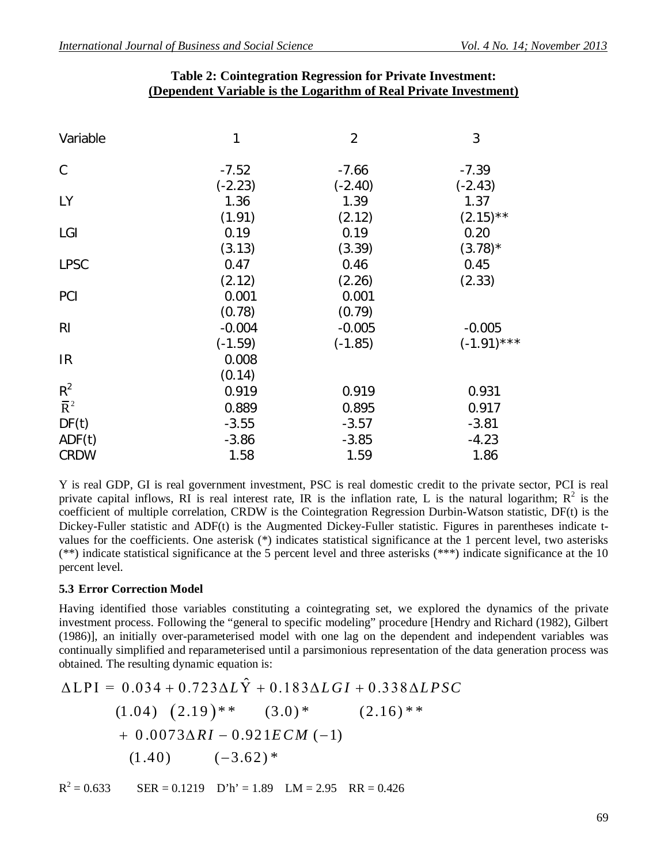| Variable                           | 1                  | $\overline{2}$     | 3                   |
|------------------------------------|--------------------|--------------------|---------------------|
| C                                  | $-7.52$            | $-7.66$            | $-7.39$             |
| <b>LY</b>                          | $(-2.23)$<br>1.36  | $(-2.40)$<br>1.39  | $(-2.43)$<br>1.37   |
| LGI                                | (1.91)<br>0.19     | (2.12)<br>0.19     | $(2.15)$ **<br>0.20 |
| <b>LPSC</b>                        | (3.13)<br>0.47     | (3.39)<br>0.46     | $(3.78)^*$<br>0.45  |
| <b>PCI</b>                         | (2.12)<br>0.001    | (2.26)<br>0.001    | (2.33)              |
| R <sub>l</sub>                     | (0.78)<br>$-0.004$ | (0.79)<br>$-0.005$ | $-0.005$            |
|                                    | $(-1.59)$          | $(-1.85)$          | $(-1.91)$ ***       |
| IR                                 | 0.008<br>(0.14)    |                    |                     |
| $R^2$<br>$\overline{\mathsf{R}}^2$ | 0.919<br>0.889     | 0.919<br>0.895     | 0.931<br>0.917      |
| DF(t)<br>ADF(t)                    | $-3.55$<br>$-3.86$ | $-3.57$<br>$-3.85$ | $-3.81$<br>$-4.23$  |
| <b>CRDW</b>                        | 1.58               | 1.59               | 1.86                |

# **Table 2: Cointegration Regression for Private Investment: (Dependent Variable is the Logarithm of Real Private Investment)**

Y is real GDP, GI is real government investment, PSC is real domestic credit to the private sector, PCI is real private capital inflows, RI is real interest rate, IR is the inflation rate, L is the natural logarithm;  $R^2$  is the coefficient of multiple correlation, CRDW is the Cointegration Regression Durbin-Watson statistic, DF(t) is the Dickey-Fuller statistic and ADF(t) is the Augmented Dickey-Fuller statistic. Figures in parentheses indicate tvalues for the coefficients. One asterisk (\*) indicates statistical significance at the 1 percent level, two asterisks (\*\*) indicate statistical significance at the 5 percent level and three asterisks (\*\*\*) indicate significance at the 10 percent level.

# **5.3 Error Correction Model**

Having identified those variables constituting a cointegrating set, we explored the dynamics of the private investment process. Following the "general to specific modeling" procedure [Hendry and Richard (1982), Gilbert (1986)], an initially over-parameterised model with one lag on the dependent and independent variables was continually simplified and reparameterised until a parsimonious representation of the data generation process was obtained. The resulting dynamic equation is:

$$
\Delta LPI = 0.034 + 0.723 \Delta L\hat{Y} + 0.183 \Delta LGI + 0.338 \Delta LPSC
$$
  
(1.04) (2.19)\*\*(3.0)\* (2.16)\*\*  
+ 0.0073 \Delta RI - 0.921ECM (-1)  
(1.40) (-3.62)\*

 $R^2$  $SER = 0.1219$  D'h' = 1.89 LM = 2.95 RR = 0.426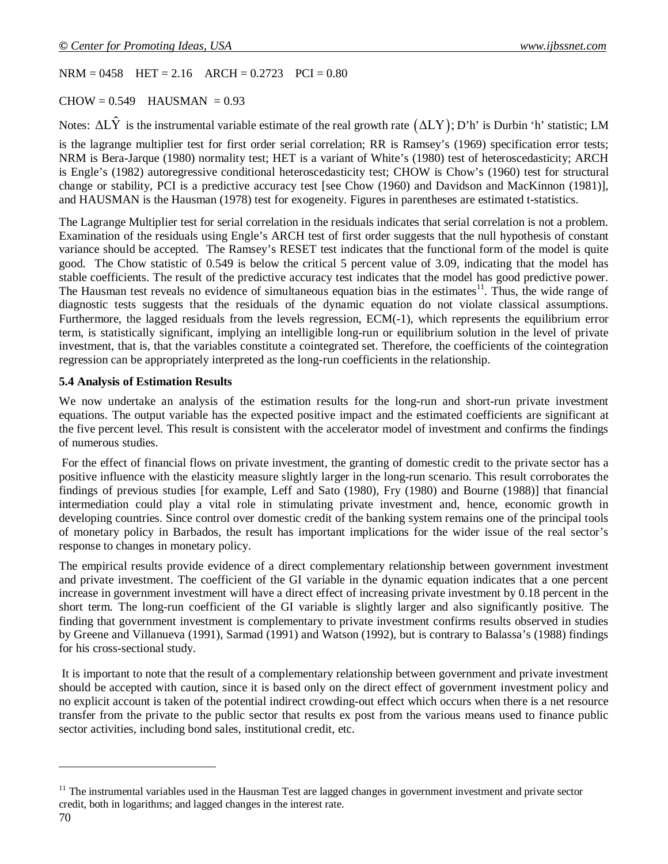$NRM = 0458$  HET = 2.16  $ARCH = 0.2723$  PCI = 0.80

 $CHOW = 0.549$  HAUSMAN = 0.93

Notes:  $\Delta L\hat{Y}$  is the instrumental variable estimate of the real growth rate  $(\Delta LY)$ ; D'h' is Durbin 'h' statistic; LM

is the lagrange multiplier test for first order serial correlation; RR is Ramsey's (1969) specification error tests; NRM is Bera-Jarque (1980) normality test; HET is a variant of White's (1980) test of heteroscedasticity; ARCH is Engle's (1982) autoregressive conditional heteroscedasticity test; CHOW is Chow's (1960) test for structural change or stability, PCI is a predictive accuracy test [see Chow (1960) and Davidson and MacKinnon (1981)], and HAUSMAN is the Hausman (1978) test for exogeneity. Figures in parentheses are estimated t-statistics.

The Lagrange Multiplier test for serial correlation in the residuals indicates that serial correlation is not a problem. Examination of the residuals using Engle's ARCH test of first order suggests that the null hypothesis of constant variance should be accepted. The Ramsey's RESET test indicates that the functional form of the model is quite good. The Chow statistic of 0.549 is below the critical 5 percent value of 3.09, indicating that the model has stable coefficients. The result of the predictive accuracy test indicates that the model has good predictive power. The Hausman test reveals no evidence of simultaneous equation bias in the estimates<sup>11</sup>. Thus, the wide range of diagnostic tests suggests that the residuals of the dynamic equation do not violate classical assumptions. Furthermore, the lagged residuals from the levels regression, ECM(-1), which represents the equilibrium error term, is statistically significant, implying an intelligible long-run or equilibrium solution in the level of private investment, that is, that the variables constitute a cointegrated set. Therefore, the coefficients of the cointegration regression can be appropriately interpreted as the long-run coefficients in the relationship.

#### **5.4 Analysis of Estimation Results**

We now undertake an analysis of the estimation results for the long-run and short-run private investment equations. The output variable has the expected positive impact and the estimated coefficients are significant at the five percent level. This result is consistent with the accelerator model of investment and confirms the findings of numerous studies.

For the effect of financial flows on private investment, the granting of domestic credit to the private sector has a positive influence with the elasticity measure slightly larger in the long-run scenario. This result corroborates the findings of previous studies [for example, Leff and Sato (1980), Fry (1980) and Bourne (1988)] that financial intermediation could play a vital role in stimulating private investment and, hence, economic growth in developing countries. Since control over domestic credit of the banking system remains one of the principal tools of monetary policy in Barbados, the result has important implications for the wider issue of the real sector's response to changes in monetary policy.

The empirical results provide evidence of a direct complementary relationship between government investment and private investment. The coefficient of the GI variable in the dynamic equation indicates that a one percent increase in government investment will have a direct effect of increasing private investment by 0.18 percent in the short term. The long-run coefficient of the GI variable is slightly larger and also significantly positive. The finding that government investment is complementary to private investment confirms results observed in studies by Greene and Villanueva (1991), Sarmad (1991) and Watson (1992), but is contrary to Balassa's (1988) findings for his cross-sectional study.

It is important to note that the result of a complementary relationship between government and private investment should be accepted with caution, since it is based only on the direct effect of government investment policy and no explicit account is taken of the potential indirect crowding-out effect which occurs when there is a net resource transfer from the private to the public sector that results ex post from the various means used to finance public sector activities, including bond sales, institutional credit, etc.

 $\overline{a}$ 

<sup>&</sup>lt;sup>11</sup> The instrumental variables used in the Hausman Test are lagged changes in government investment and private sector credit, both in logarithms; and lagged changes in the interest rate.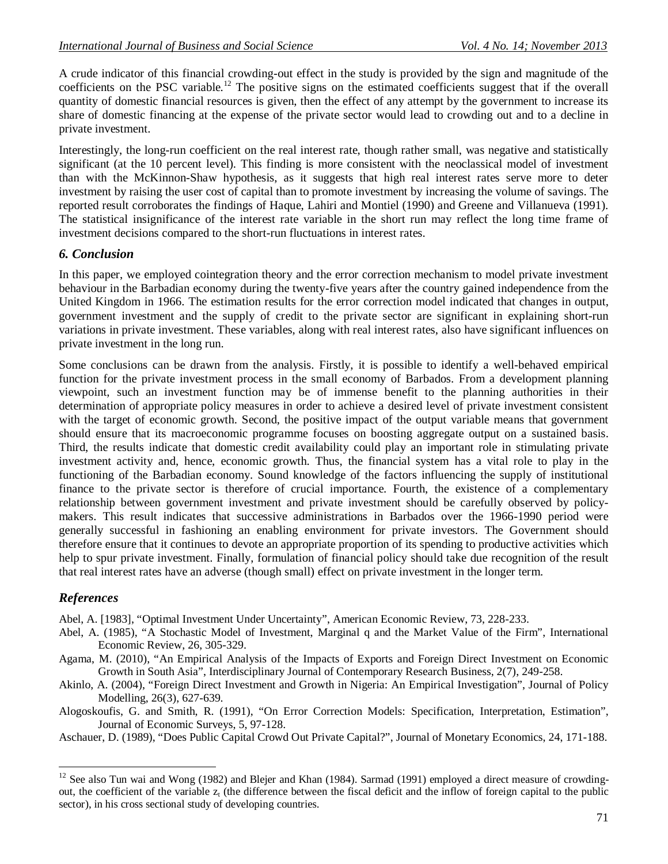A crude indicator of this financial crowding-out effect in the study is provided by the sign and magnitude of the coefficients on the PSC variable.<sup>12</sup> The positive signs on the estimated coefficients suggest that if the overall quantity of domestic financial resources is given, then the effect of any attempt by the government to increase its share of domestic financing at the expense of the private sector would lead to crowding out and to a decline in private investment.

Interestingly, the long-run coefficient on the real interest rate, though rather small, was negative and statistically significant (at the 10 percent level). This finding is more consistent with the neoclassical model of investment than with the McKinnon-Shaw hypothesis, as it suggests that high real interest rates serve more to deter investment by raising the user cost of capital than to promote investment by increasing the volume of savings. The reported result corroborates the findings of Haque, Lahiri and Montiel (1990) and Greene and Villanueva (1991). The statistical insignificance of the interest rate variable in the short run may reflect the long time frame of investment decisions compared to the short-run fluctuations in interest rates.

#### *6. Conclusion*

In this paper, we employed cointegration theory and the error correction mechanism to model private investment behaviour in the Barbadian economy during the twenty-five years after the country gained independence from the United Kingdom in 1966. The estimation results for the error correction model indicated that changes in output, government investment and the supply of credit to the private sector are significant in explaining short-run variations in private investment. These variables, along with real interest rates, also have significant influences on private investment in the long run.

Some conclusions can be drawn from the analysis. Firstly, it is possible to identify a well-behaved empirical function for the private investment process in the small economy of Barbados. From a development planning viewpoint, such an investment function may be of immense benefit to the planning authorities in their determination of appropriate policy measures in order to achieve a desired level of private investment consistent with the target of economic growth. Second, the positive impact of the output variable means that government should ensure that its macroeconomic programme focuses on boosting aggregate output on a sustained basis. Third, the results indicate that domestic credit availability could play an important role in stimulating private investment activity and, hence, economic growth. Thus, the financial system has a vital role to play in the functioning of the Barbadian economy. Sound knowledge of the factors influencing the supply of institutional finance to the private sector is therefore of crucial importance. Fourth, the existence of a complementary relationship between government investment and private investment should be carefully observed by policymakers. This result indicates that successive administrations in Barbados over the 1966-1990 period were generally successful in fashioning an enabling environment for private investors. The Government should therefore ensure that it continues to devote an appropriate proportion of its spending to productive activities which help to spur private investment. Finally, formulation of financial policy should take due recognition of the result that real interest rates have an adverse (though small) effect on private investment in the longer term.

# *References*

 $\overline{a}$ 

Abel, A. [1983], "Optimal Investment Under Uncertainty", American Economic Review, 73, 228-233.

- Abel, A. (1985), "A Stochastic Model of Investment, Marginal q and the Market Value of the Firm", International Economic Review, 26, 305-329.
- Agama, M. (2010), "An Empirical Analysis of the Impacts of Exports and Foreign Direct Investment on Economic Growth in South Asia", Interdisciplinary Journal of Contemporary Research Business, 2(7), 249-258.
- Akinlo, A. (2004), "Foreign Direct Investment and Growth in Nigeria: An Empirical Investigation", Journal of Policy Modelling, 26(3), 627-639.
- Alogoskoufis, G. and Smith, R. (1991), "On Error Correction Models: Specification, Interpretation, Estimation", Journal of Economic Surveys, 5, 97-128.

Aschauer, D. (1989), "Does Public Capital Crowd Out Private Capital?", Journal of Monetary Economics, 24, 171-188.

 $12$  See also Tun wai and Wong (1982) and Blejer and Khan (1984). Sarmad (1991) employed a direct measure of crowdingout, the coefficient of the variable  $z_t$  (the difference between the fiscal deficit and the inflow of foreign capital to the public sector), in his cross sectional study of developing countries.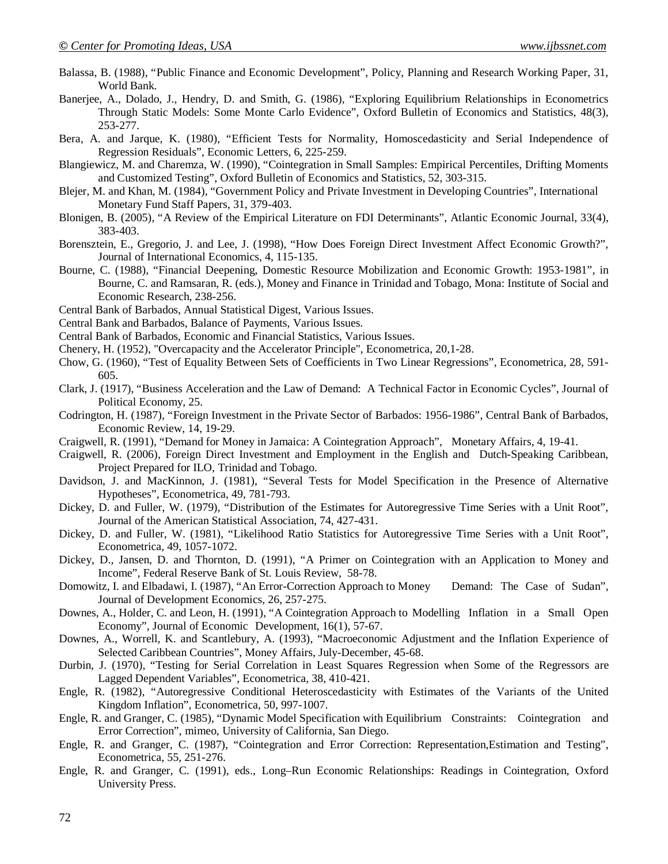- Balassa, B. (1988), "Public Finance and Economic Development", Policy, Planning and Research Working Paper, 31, World Bank.
- Banerjee, A., Dolado, J., Hendry, D. and Smith, G. (1986), "Exploring Equilibrium Relationships in Econometrics Through Static Models: Some Monte Carlo Evidence", Oxford Bulletin of Economics and Statistics, 48(3), 253-277.
- Bera, A. and Jarque, K. (1980), "Efficient Tests for Normality, Homoscedasticity and Serial Independence of Regression Residuals", Economic Letters, 6, 225-259.
- Blangiewicz, M. and Charemza, W. (1990), "Cointegration in Small Samples: Empirical Percentiles, Drifting Moments and Customized Testing", Oxford Bulletin of Economics and Statistics, 52, 303-315.
- Blejer, M. and Khan, M. (1984), "Government Policy and Private Investment in Developing Countries", International Monetary Fund Staff Papers, 31, 379-403.
- Blonigen, B. (2005), "A Review of the Empirical Literature on FDI Determinants", Atlantic Economic Journal, 33(4), 383-403.
- Borensztein, E., Gregorio, J. and Lee, J. (1998), "How Does Foreign Direct Investment Affect Economic Growth?", Journal of International Economics, 4, 115-135.
- Bourne, C. (1988), "Financial Deepening, Domestic Resource Mobilization and Economic Growth: 1953-1981", in Bourne, C. and Ramsaran, R. (eds.), Money and Finance in Trinidad and Tobago, Mona: Institute of Social and Economic Research, 238-256.
- Central Bank of Barbados, Annual Statistical Digest, Various Issues.
- Central Bank and Barbados, Balance of Payments, Various Issues.
- Central Bank of Barbados, Economic and Financial Statistics, Various Issues.
- Chenery, H. (1952), "Overcapacity and the Accelerator Principle", Econometrica, 20,1-28.
- Chow, G. (1960), "Test of Equality Between Sets of Coefficients in Two Linear Regressions", Econometrica, 28, 591- 605.
- Clark, J. (1917), "Business Acceleration and the Law of Demand: A Technical Factor in Economic Cycles", Journal of Political Economy, 25.
- Codrington, H. (1987), "Foreign Investment in the Private Sector of Barbados: 1956-1986", Central Bank of Barbados, Economic Review, 14, 19-29.
- Craigwell, R. (1991), "Demand for Money in Jamaica: A Cointegration Approach", Monetary Affairs, 4, 19-41.
- Craigwell, R. (2006), Foreign Direct Investment and Employment in the English and Dutch-Speaking Caribbean, Project Prepared for ILO, Trinidad and Tobago.
- Davidson, J. and MacKinnon, J. (1981), "Several Tests for Model Specification in the Presence of Alternative Hypotheses", Econometrica, 49, 781-793.
- Dickey, D. and Fuller, W. (1979), "Distribution of the Estimates for Autoregressive Time Series with a Unit Root", Journal of the American Statistical Association, 74, 427-431.
- Dickey, D. and Fuller, W. (1981), "Likelihood Ratio Statistics for Autoregressive Time Series with a Unit Root", Econometrica, 49, 1057-1072.
- Dickey, D., Jansen, D. and Thornton, D. (1991), "A Primer on Cointegration with an Application to Money and Income", Federal Reserve Bank of St. Louis Review, 58-78.
- Domowitz, I. and Elbadawi, I. (1987), "An Error-Correction Approach to Money Demand: The Case of Sudan", Journal of Development Economics, 26, 257-275.
- Downes, A., Holder, C. and Leon, H. (1991), "A Cointegration Approach to Modelling Inflation in a Small Open Economy", Journal of Economic Development, 16(1), 57-67.
- Downes, A., Worrell, K. and Scantlebury, A. (1993), "Macroeconomic Adjustment and the Inflation Experience of Selected Caribbean Countries", Money Affairs, July-December, 45-68.
- Durbin, J. (1970), "Testing for Serial Correlation in Least Squares Regression when Some of the Regressors are Lagged Dependent Variables", Econometrica, 38, 410-421.
- Engle, R. (1982), "Autoregressive Conditional Heteroscedasticity with Estimates of the Variants of the United Kingdom Inflation", Econometrica, 50, 997-1007.
- Engle, R. and Granger, C. (1985), "Dynamic Model Specification with Equilibrium Constraints: Cointegration and Error Correction", mimeo, University of California, San Diego.
- Engle, R. and Granger, C. (1987), "Cointegration and Error Correction: Representation,Estimation and Testing", Econometrica, 55, 251-276.
- Engle, R. and Granger, C. (1991), eds., Long–Run Economic Relationships: Readings in Cointegration, Oxford University Press.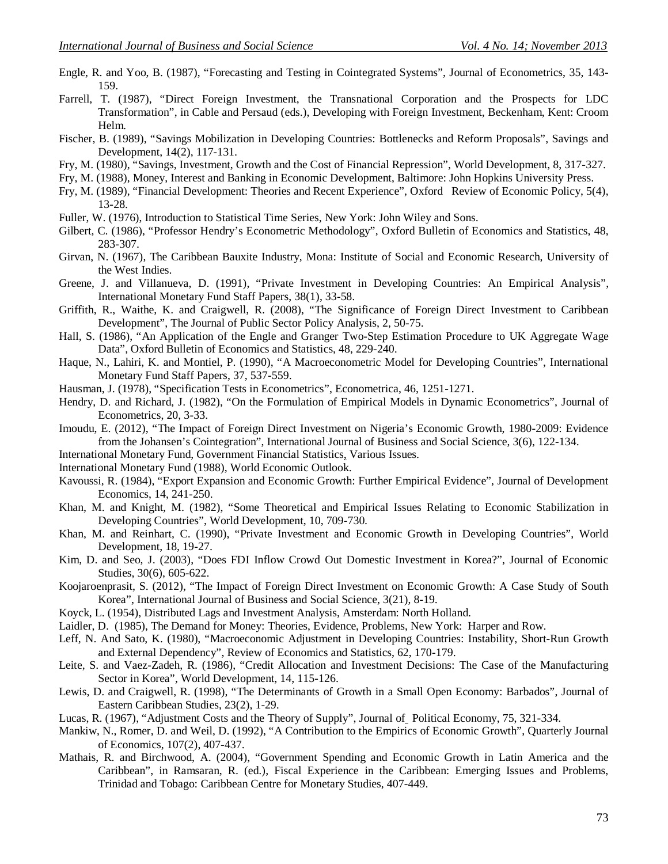- Engle, R. and Yoo, B. (1987), "Forecasting and Testing in Cointegrated Systems", Journal of Econometrics, 35, 143- 159.
- Farrell, T. (1987), "Direct Foreign Investment, the Transnational Corporation and the Prospects for LDC Transformation", in Cable and Persaud (eds.), Developing with Foreign Investment, Beckenham, Kent: Croom Helm.
- Fischer, B. (1989), "Savings Mobilization in Developing Countries: Bottlenecks and Reform Proposals", Savings and Development, 14(2), 117-131.
- Fry, M. (1980), "Savings, Investment, Growth and the Cost of Financial Repression", World Development, 8, 317-327.
- Fry, M. (1988), Money, Interest and Banking in Economic Development, Baltimore: John Hopkins University Press.
- Fry, M. (1989), "Financial Development: Theories and Recent Experience", Oxford Review of Economic Policy, 5(4), 13-28.
- Fuller, W. (1976), Introduction to Statistical Time Series, New York: John Wiley and Sons.
- Gilbert, C. (1986), "Professor Hendry's Econometric Methodology", Oxford Bulletin of Economics and Statistics, 48, 283-307.
- Girvan, N. (1967), The Caribbean Bauxite Industry, Mona: Institute of Social and Economic Research, University of the West Indies.
- Greene, J. and Villanueva, D. (1991), "Private Investment in Developing Countries: An Empirical Analysis", International Monetary Fund Staff Papers, 38(1), 33-58.
- Griffith, R., Waithe, K. and Craigwell, R. (2008), "The Significance of Foreign Direct Investment to Caribbean Development", The Journal of Public Sector Policy Analysis, 2, 50-75.
- Hall, S. (1986), "An Application of the Engle and Granger Two-Step Estimation Procedure to UK Aggregate Wage Data", Oxford Bulletin of Economics and Statistics, 48, 229-240.
- Haque, N., Lahiri, K. and Montiel, P. (1990), "A Macroeconometric Model for Developing Countries", International Monetary Fund Staff Papers, 37, 537-559.
- Hausman, J. (1978), "Specification Tests in Econometrics", Econometrica, 46, 1251-1271.
- Hendry, D. and Richard, J. (1982), "On the Formulation of Empirical Models in Dynamic Econometrics", Journal of Econometrics, 20, 3-33.
- Imoudu, E. (2012), "The Impact of Foreign Direct Investment on Nigeria's Economic Growth, 1980-2009: Evidence from the Johansen's Cointegration", International Journal of Business and Social Science, 3(6), 122-134.
- International Monetary Fund, Government Financial Statistics, Various Issues.
- International Monetary Fund (1988), World Economic Outlook.
- Kavoussi, R. (1984), "Export Expansion and Economic Growth: Further Empirical Evidence", Journal of Development Economics, 14, 241-250.
- Khan, M. and Knight, M. (1982), "Some Theoretical and Empirical Issues Relating to Economic Stabilization in Developing Countries", World Development, 10, 709-730.
- Khan, M. and Reinhart, C. (1990), "Private Investment and Economic Growth in Developing Countries", World Development, 18, 19-27.
- Kim, D. and Seo, J. (2003), "Does FDI Inflow Crowd Out Domestic Investment in Korea?", Journal of Economic Studies, 30(6), 605-622.
- Koojaroenprasit, S. (2012), "The Impact of Foreign Direct Investment on Economic Growth: A Case Study of South Korea", International Journal of Business and Social Science, 3(21), 8-19.
- Koyck, L. (1954), Distributed Lags and Investment Analysis, Amsterdam: North Holland.
- Laidler, D. (1985), The Demand for Money: Theories, Evidence, Problems, New York: Harper and Row.
- Leff, N. And Sato, K. (1980), "Macroeconomic Adjustment in Developing Countries: Instability, Short-Run Growth and External Dependency", Review of Economics and Statistics, 62, 170-179.
- Leite, S. and Vaez-Zadeh, R. (1986), "Credit Allocation and Investment Decisions: The Case of the Manufacturing Sector in Korea", World Development, 14, 115-126.
- Lewis, D. and Craigwell, R. (1998), "The Determinants of Growth in a Small Open Economy: Barbados", Journal of Eastern Caribbean Studies, 23(2), 1-29.
- Lucas, R. (1967), "Adjustment Costs and the Theory of Supply", Journal of Political Economy, 75, 321-334.
- Mankiw, N., Romer, D. and Weil, D. (1992), "A Contribution to the Empirics of Economic Growth", Quarterly Journal of Economics, 107(2), 407-437.
- Mathais, R. and Birchwood, A. (2004), "Government Spending and Economic Growth in Latin America and the Caribbean", in Ramsaran, R. (ed.), Fiscal Experience in the Caribbean: Emerging Issues and Problems, Trinidad and Tobago: Caribbean Centre for Monetary Studies, 407-449.